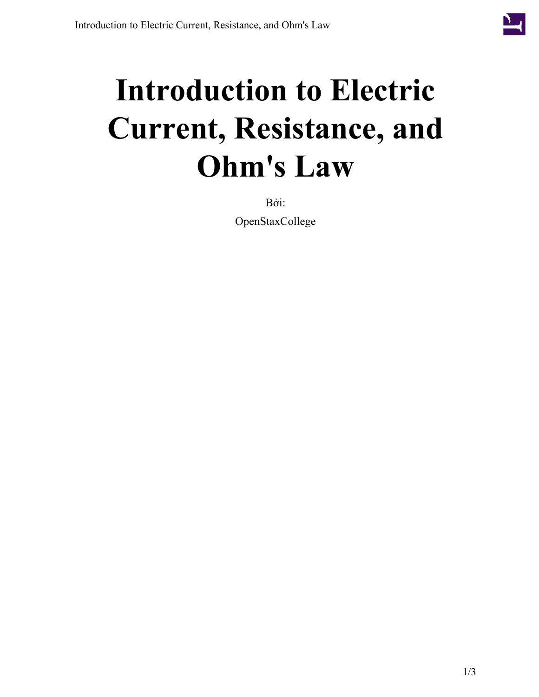

## **Introduction to Electric Current, Resistance, and Ohm's Law**

Bởi: OpenStaxCollege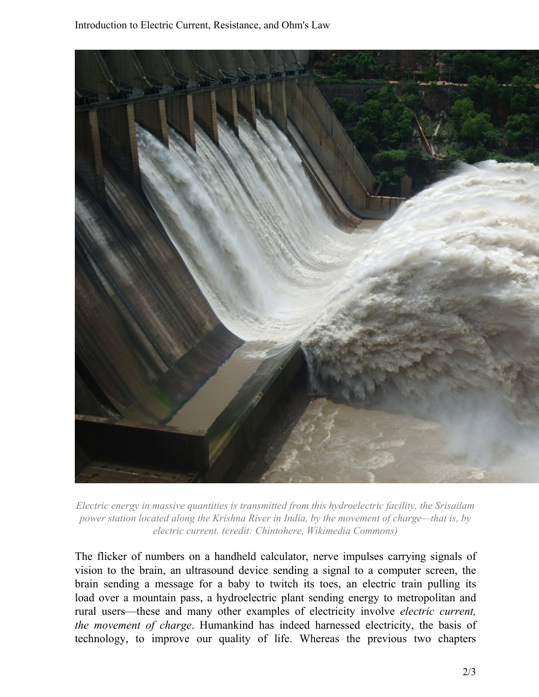

*Electric energy in massive quantities is transmitted from this hydroelectric facility, the Srisailam power station located along the Krishna River in India, by the movement of charge—that is, by electric current. (credit: Chintohere, Wikimedia Commons)*

The flicker of numbers on a handheld calculator, nerve impulses carrying signals of vision to the brain, an ultrasound device sending a signal to a computer screen, the brain sending a message for a baby to twitch its toes, an electric train pulling its load over a mountain pass, a hydroelectric plant sending energy to metropolitan and rural users—these and many other examples of electricity involve *electric current, the movement of charge*. Humankind has indeed harnessed electricity, the basis of technology, to improve our quality of life. Whereas the previous two chapters